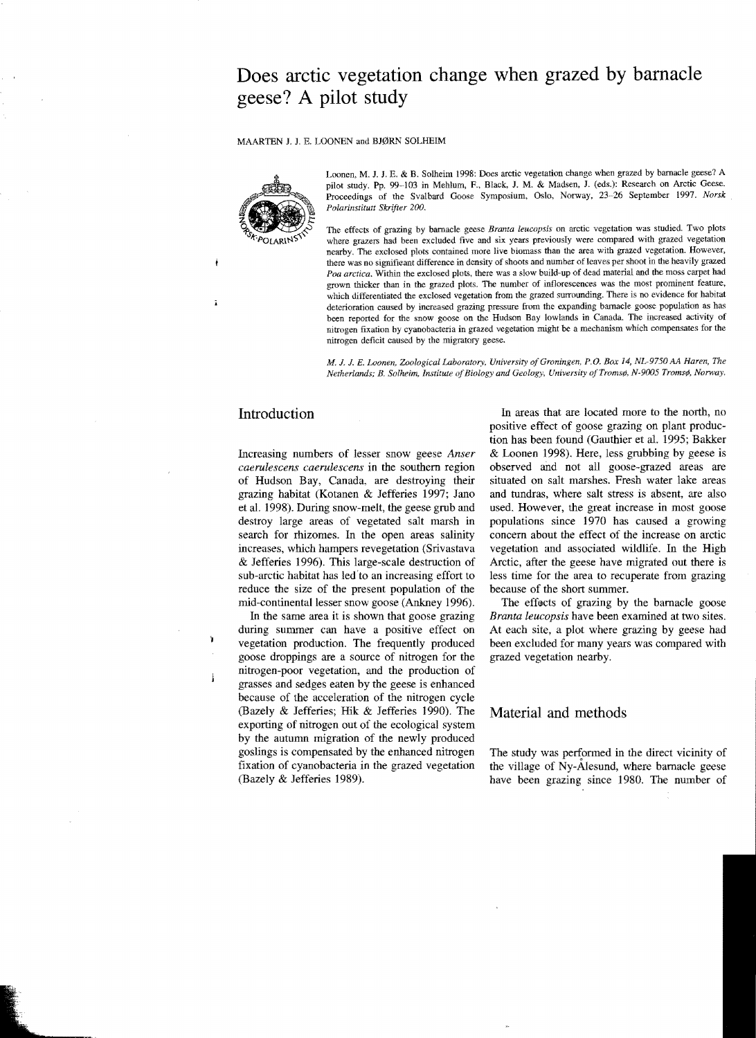# **Does arctic vegetation change when grazed by barnacle geese? A pilot study**

#### MAARTEN J. J. E. LOONEN and BJØRN SOLHEIM



Loonen, M, J. J, E, & B. Solheim 1998: Does arctic vegetation change when grazed by barnacle geese? A pilot study. Pp. 99-103 in Mehlum, E, Black, 1. M. & Madsen, J. (eds,): Research on Arctic Geese. Proceedings of the Svalbard Goose Symposium, Oslo, Norway, 23-26 September 1997. *Norsk Polarinstitutt Skrifter 200.* 

The effects of grazing by barnacle geese *Branta leucopsis* on arctic vegetation was studied. Two plots where grazers had been excluded five and six years previously were compared with grazed vegetation nearby. The exclosed plots contained more live biomass than the area with grazed vegetation. However, there was no significant difference in density of shoots and number of leaves per shoot in the heavily grazed *Poa arctica.* Within the exclosed plots, there was a slow build-up of dead material and the moss carpet had grown thicker than in the grazed plots. The number of inflorescences was the most prominent feature, which differentiated the exclosed vegetation from the grazed surrounding. There is no evidence for habitat deterioration caused by increased grazing pressure from the expanding barnacle goose population as has heen reported for the snow goose on the Hudson Bay lowlands in Canada. The increased activity of nitrogen fixation by cyanobacteria in grazed vegetation might be a mechanism which compensates for the nitrogen deficit caused by the migratory geese.

*M.* J. J. *E. Loonen, Zoological Loboratory, University ofGroningen, P,O. Box* ]4, *NL-9750 AA Haren, The Netherlands; B. Solheim, Institute ofBiology and Geology, University ofTroms¢, N-9005 Troms¢, Norway.* 

## Introduction

Increasing numbers of lesser snow geese *Anser caerulescens caerulescens* in the southern region of Hudson Bay, Canada, are destroying their grazing habitat (Kotanen & Jefferies 1997; Jano et al. 1998). During snow-melt, the geese grub and destroy large areas of vegetated salt marsh in search for rhizomes. In the open areas salinity increases, which hampers revegetation (Srivastava & Jefferies 1996). This large-scale destruction of sub-arctic habitat has led'to an increasing effort to reduce the size of the present population of the mid-continental lesser snow goose (Ankney 1996).

In the same area it is shown that goose grazing during summer can have a positive effect on vegetation production. The frequently produced goose droppings are a source of nitrogen for the nitrogen-poor vegetation, and the production of grasses and sedges eaten by the geese is enhanced because of the acceleration of the nitrogen cycle (Bazely & Jefferies; Hit & Jefferies 1990). The exporting of nitrogen out of the ecological system by the autumn migration of the newly produced goslings is compensated by the enhanced nitrogen fixation of cyanobacteria in the grazed vegetation (Bazely & Jefferies 1989).

In areas that are located more to the north, no positive effect of goose grazing on plant production has been found (Gauthier et al. 1995; Bakker & Loonen 1998). Here, less grubbing by geese is observed and not all goose-grazed areas are situated on salt marshes. Fresh water lake areas and tundras, where salt stress is absent, are also used. However, the great increase in most goose populations since 1970 has caused a concern about the effect of the increase on arctic vegetation and associated wildlife. In the High Arctic, after the geese have migrated out there is less time for the area to recuperate from grazing because of the short summer.

The effects of grazing by the barnacle goose *Branta leucopsis* have been examined at two sites. At each site, a plot where grazing by geese had been excluded for many years was compared with grazed vegetation nearby.

#### Material and methods

The study was perfonned in the direct vicinity of the village of Ny-Atesund, where barnacle geese have been grazing since 1980. The number of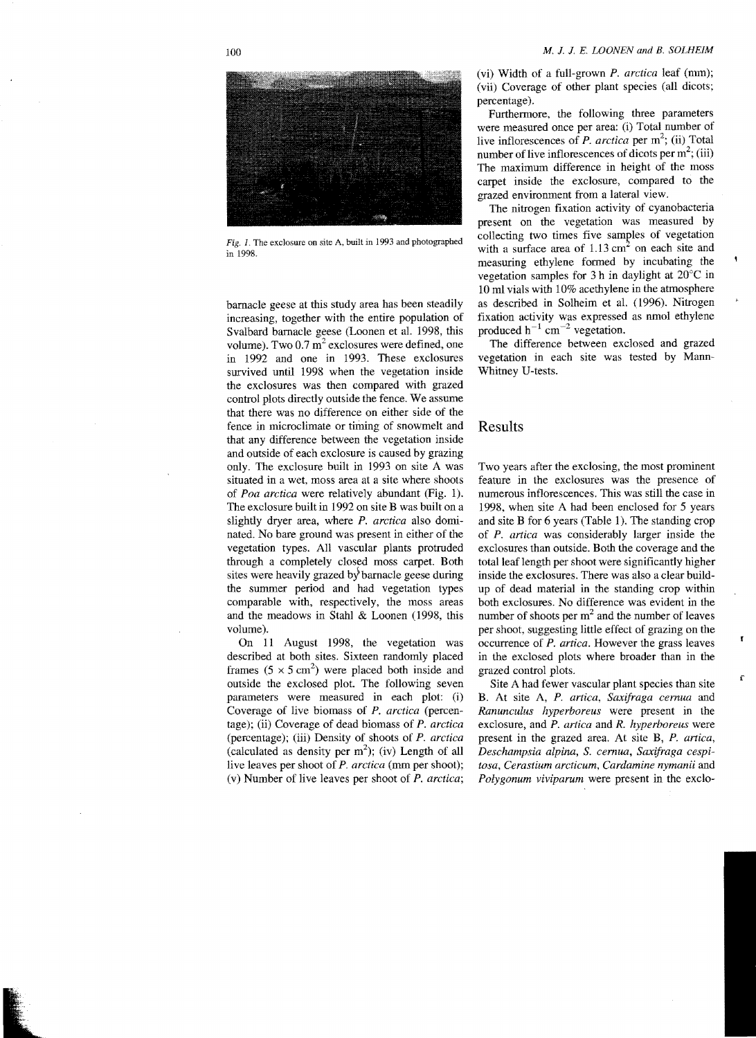

Fig. I. The exclosure on site A, built in 1993 and photographed in 1998.

barnacle geese at this study area has been steadily increasing, together with the entire population of Svalbard barnacle geese (Loonen et aL 1998, this volume). Two  $0.7 \text{ m}^2$  exclosures were defined, one in 1992 and one in 1993. These excIosures survived until 1998 when the vegetation inside the exclosures was then compared with grazed control plots directly outside the fence. We assume that there was no difference on either side of the fence in microclimate or timing of snowmelt and that any difference between the vegetation inside and outside of each exclosure is caused by grazing only. The exclosure built in 1993 on site A was situated in a wet, moss area at a site where shoots of *Poa arctica* were relatively abundant (Fig. 1). The excIosure built in 1992 on site B was built on a slightly dryer area, where *P. arctica* also dominated. No bare ground was present in either of the vegetation types. All vascular plants protruded through a completely closed moss carpet. Both sites were heavily grazed by barnacle geese during the summer period and had vegetation types comparable with, respectively, the moss areas and the meadows in Stahl & Loonen (1998, this volume).

On 11 August 1998, the vegetation was described at both sites. Sixteen randomly placed frames  $(5 \times 5 \text{ cm}^2)$  were placed both inside and outside the exclosed plot. The following seven parameters were measured in each plot: (i) Coverage of live biomass of *P. arctica* (percentage); (ii) Coverage of dead biomass of *P. arctica*  (percentage); (iii) Density of shoots of *P. arctica*  (calculated as density per  $m^2$ ); (iv) Length of all live leaves per shoot of *P. arctica* (mm per shoot); (v) Number of live leaves per shoot of *P. arctica;* 

(vi) Width of a full-grown *P. arctica* leaf (nun); (vii) Coverage of other plant species (all dicots; percentage).

Furthermore, the following three parameters were measured once per area: (i) Total number of live inflorescences of *P. arctica* per  $m^2$ ; (ii) Total number of live inflorescences of dicots per  $m^2$ ; (iii) The maximum difference in height of the moss carpet inside the exclosure, compared to the grazed environment from a lateral view.

The nitrogen fixation activity of cyanobacteria present on the vegetation was measured by eollecting two times five samples of vegetation with a surface area of  $1.13 \text{ cm}^2$  on each site and measuring ethylene formed by incubating the vegetation samples for 3 h in daylight at 20°C in 10 ml vials with 10% acethylene in the atmosphere as described in Solheim et al. (1996). Nitrogen fixation activity was expressed as nmol ethylene produced  $h^{-1}$  cm<sup>-2</sup> vegetation.

The difference between exclosed and grazed vegetation in each site was tested by Mann-Whitney U-tests.

#### Results

Two years after the excIosing, the most prominent feature in the exclosures was the presence of numerous inflorescences. This was still the case in 1998, when site A had been enclosed for 5 years and site B for 6 years (Table I). The standing crop of *P. artica* was considerably larger inside the exclosures than outside. Both the coverage and the total leaf length per shoot were significantly higher inside the exclosures. There was also a clear buildup of dead material in the standing crop within both exclosmes. No difference was evident in the number of shoots per  $m<sup>2</sup>$  and the number of leaves per shoot, suggesting little effect of grazing on the occurrence of *P. artica.* However the grass leaves in the exclosed plots where broader than in the grazed control plots.

Site A had fewer vascular plant species than site B. At site A, *P. artica, Saxifraga cernua* and *Ranunculus hyperboreus* were present in the exclosure, and *P. artica* and *R. hyperboreus* were present in the grazed area. At site B, *P. artica, Deschampsia alpina,* S. *cernua, Saxifraga cespitosa, Cerastium arcticum, Cardamine nymanii* and *Polygonum viviparum* were present in the exclo

r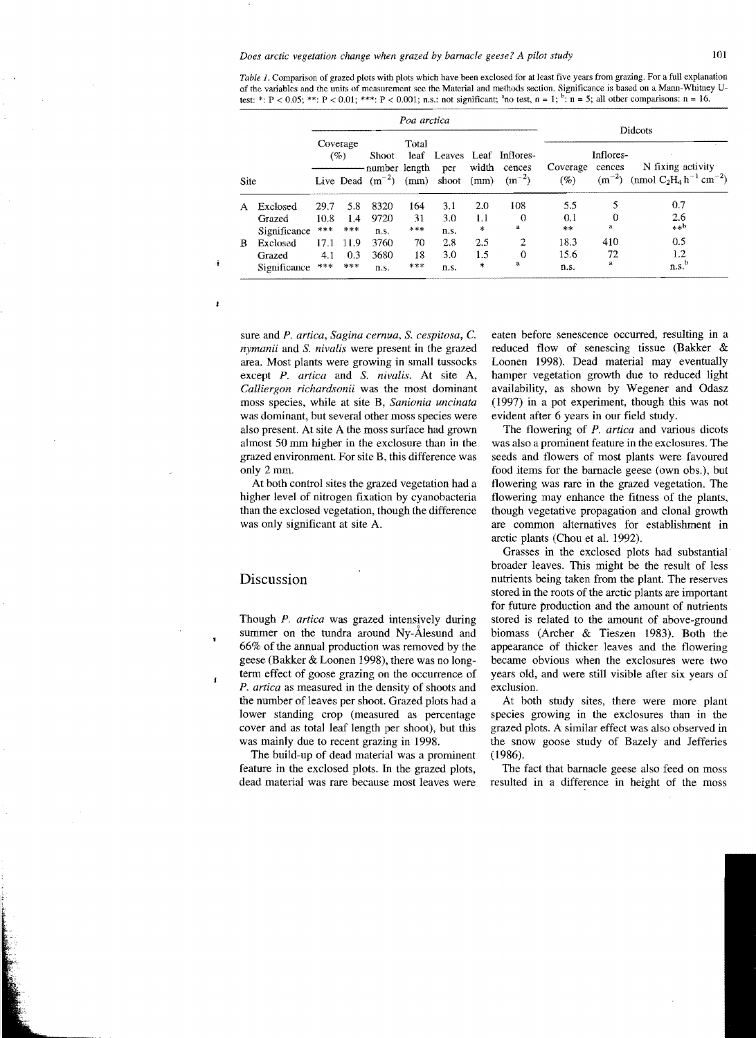|      | Poa arctica              |             |                 |                      |                            |                     |                |                                            | Didcots                                           |         |                                                                                   |
|------|--------------------------|-------------|-----------------|----------------------|----------------------------|---------------------|----------------|--------------------------------------------|---------------------------------------------------|---------|-----------------------------------------------------------------------------------|
|      |                          |             | Coverage<br>(%) |                      | Total<br>number length per |                     |                | leaf Leaves Leaf Inflores-<br>width cences | Inflores-<br>N fixing activity<br>Coverage cences |         |                                                                                   |
| Site |                          |             |                 | Live Dead $(m^{-2})$ |                            | $(mm)$ shoot $(mm)$ |                | $(m^{-2})$                                 | (%)                                               |         | $(m^{-2})$ (nmol C <sub>2</sub> H <sub>4</sub> h <sup>-1</sup> cm <sup>-2</sup> ) |
| A    | Exclosed                 | 29.7        | 5.8             | 8320                 | 164                        | 3.1                 | 2.0            | 108                                        | 5.5                                               | 5       | 0.7                                                                               |
|      | Grazed                   | 10.8<br>*** | 1.4<br>***      | 9720                 | 31<br>***                  | 3.0                 | 1.1<br>$\star$ | $\Omega$<br>a                              | 0.1<br>**                                         | 0<br>a  | 2.6<br>$***b$                                                                     |
| B.   | Significance<br>Exclosed | 17.1        | 11.9            | n.s.<br>3760         | 70                         | n.s.<br>2.8         | 2.5            | $\overline{c}$                             | 18.3                                              | 410     | 0.5                                                                               |
|      | Grazed<br>Significance   | 4.1<br>***  | 0.3<br>$***$    | 3680<br>n.s.         | 18<br>***                  | 3.0<br>n.s.         | 1.5<br>$\ast$  | $\Omega$<br>a                              | 15.6<br>n.s.                                      | 72<br>a | $1.2\,$<br>n.s. <sup>b</sup>                                                      |

*Table* 1. Comparison of grazed plots with plots which have been exclosed for at least five years from grazing. For a full explanation of the variahles and the units of measurement see the Material and methods seetion. Significance is based on a Mann-Whitney Utest: \*:  $P < 0.05$ ; \*\*:  $P < 0.01$ ; \*\*\*:  $P < 0.001$ ; n.s.: not significant; <sup>a</sup>no test, n = 1;  $b:$  n = 5; all other comparisons: n = 16.

sure and *P. artica, Sagina cernua,* S. *cespitosa,* C. *nymanii* and S. *nivalis* were present in the grazed area. Most plants were growing in small tussocks except P. *artica* and S. *nivalis.* At site A, *Calliergon richardsonii* was the most dominant moss species, while at site B, *Sanionia uncinata*  was dominant, but several other moss species were also present. At site A the moss surface had grown almost 50 mm higher in the exclosure than in the grazed environment. For site B, this difference was only 2mm.

At both control sites the grazed vegetation had a higher level of nitrogen fixation by cyanobacteria than the exclosed vegetation, though the difference was only significant at site A.

### Discussion

Ĵ.

 $\mathbf{I}$ 

 $\mathbf{f}$ 

Though *P. artica* was grazed intensively during summer on the tundra around Ny-Alesund and 66% of the annual production was removed by the geese (Bakker & Loonen 1998), there was no longterm effect of goose grazing on the occurrence of *P. artica* as measured in the density of shoots and the number of leaves per shoot. Grazed plots had a lower standing crop (measured as percentage cover and as total leaf length per shoot), but this was mainly due to recent grazing in 1998.

The build-up of dead material was a prominent feature in the exclosed plots. **In** the grazed plots, dead material was rare because most leaves were eaten before senescence occurred, resulting in a reduced flow of senescing tissue (Bakker & Loonen 1998). Dead material may eventually hamper vegetation growth due to reduced light availability, as shown by Wegener and Odasz (1997) in a pot experiment, though this was not evident after 6 years in our field study.

The flowering of P. *artica* and various dicots was also a prominent feature in the exclosures. The seeds and flowers of most plants were favoured food items for the barnacle geese (own obs.), but flowering was rare in the grazed vegetation. The flowering may enhance the fitness of the plants, though vegetative propagation and clonal growth are common alternatives for establishment in arctic plants (Chou et aL 1992).

Grasses in the exclosed plots had substantial broader leaves. This might be the result of less nutrients being taken from the plant. The reserves stored in the roots of the arctic plants are important for future production and the amount of nutrients stored is related to the amount of above-ground biomass (Archer & Tieszen 1983). Both the appearance of thicker leaves and the flowering became obvious when the exclosures were two years old, and were still visible after six years of exclusion.

At both study sites, there were more plant species growing in the exclosures than in the grazed plots. A similar effect was also observed in the snow goose study of Bazely and Jefferies (1986).

The fact that barnacle geese also feed on moss resulted in a difference in height of the moss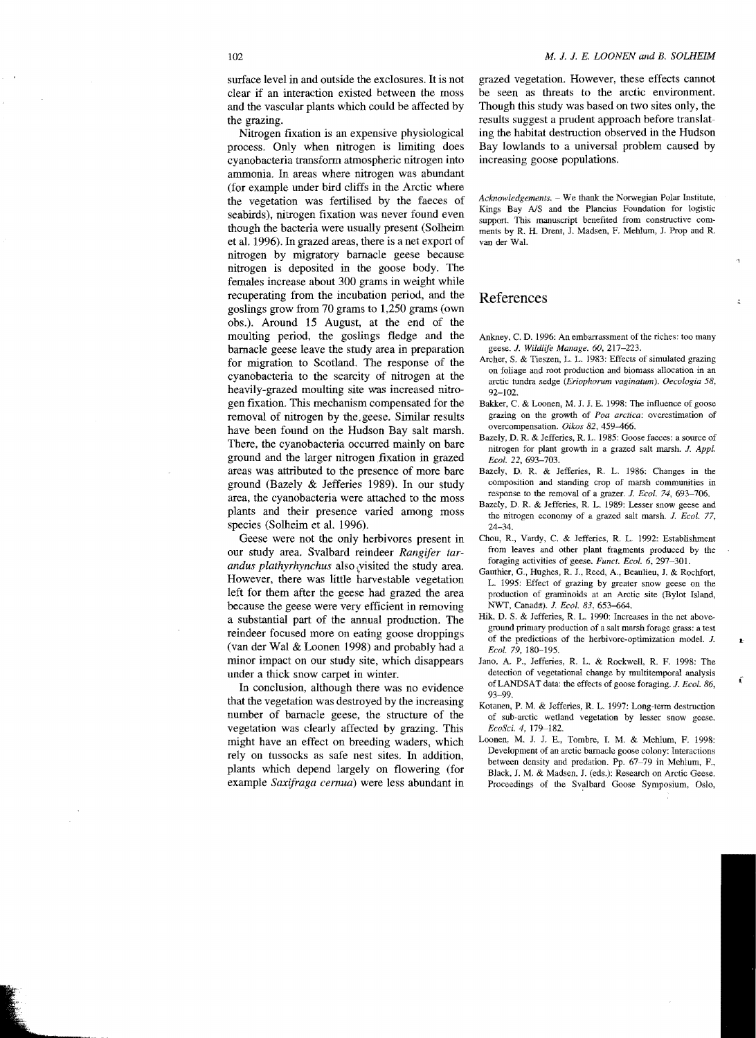surface level in and outside the exclosures. It is not clear if an interaction existed between the moss and the vascular plants which could be affected by the grazing.

Nitrogen fixation is an expensive physiological process. Only when nitrogen is limiting does cyanobacteria transform atmospheric nitrogen into ammonia. In areas where nitrogen was abundant (for example under bird cliffs in the Arctic where the vegetation was fertilised by the faeces of seabirds), nitrogen fixation was never found even though the bacteria were usually present (Solheim et al. 1996). In grazed areas, there is a net export of nitrogen by migratory barnacle geese because nitrogen is deposited in the goose body. The females increase about 300 grams in weight while recuperating from the incubation period, and the goslings grow from 70 grams to 1,250 grams (own obs.). Around 15 August, at the end of the moulting period, the goslings fledge and the barnacle geese leave the study area in preparation for migration to Scotland. The response of the cyanobacteria to the scarcity of nitrogen at the heavily-grazed moulting site was increased nitrogen fixation. This mechanism compensated for the removal of nitrogen by the.geese. Similar results have been found on the Hudson Bay salt marsh. There, the cyanobacteria occurred mainly on bare ground and the larger nitrogen fixation in grazed areas was attributed to the presence of more bare ground (Bazely & Jefferies 1989). In our study area, the cyanobacteria were attached to the moss plants and their presence varied among moss species (Solheim et al. 1996).

Geese were not the only herbivores present in andus plathyrhynchus also visited the study area. However, there was little harvestable vegetation reindeer focused more on eating goose droppings because the geese were very efficient in removing a substantial part of the annual production. The (van der Wal & Loonen 1998) and probably had a our study area. Svalbard reindeer *Rangifer*  left for them after the geese had grazed the area minor impact on our study site, which disappears under a thick snow carpet in winter.

In conclusion, although there was no evidence that the vegetation was destroyed by the increasing number of barnacle geese, the structure of the vegetation was clearly affected by grazing. This might have an effect on breeding waders, which rely on tussocks as safe nest sites. **In** addition, plants which depend largely on flowering (for example *Saxifraga cernua)* were less abundant in

grazed vegetation. However. these effects cannot be seen as threats to the arctic environment. Though this study was based on two sites only, the results suggest a prudent approach before translating the habitat destruction observed in the Hudson Bay lowlands to a universal problem caused by increasing goose populations.

Acknowledgements. - We thank the Norwegian Polar Institute, Kings Bay AlS and the Plancius Foundation for logistic support. This manuscript benefited from constructive comments by R. H. Drent, J. Madsen, F. Mehlum, J. Prop and R van der WaL

4

 $\ddot{ }$ 

 $\mathbf{r}$ 

#### References

- Ankney, C. D. 1996: An embarrassment of the riches: too many geese. *1. Wildlife Manage. 60, 217-223.*
- Archer, S. & Tieszen, L. L. 1983: Effects of simulated grazing on foliage and root production and biomass allocation in an arctic tundra sedge (Eriophorum vaginatum). Oecologia 58, 92-102.
- Bakker, C. & Loonen, M. J. J. E. 1998: The influence of goose grazing on the growth of *Poa arctica:* overestimation of overcompensation. *Oikos* 82, 459-466.
- Bazely, D. R. & Jefferies, R. L. 1985: Goose faeces: a source of nitrogen for plant growth in a grazed salt marsh. *1. AppL Ecol.* 22,693-703.
- Bazely, D. R. & Jefferies, R. L. 1986: Changes in the composition and standing crop of marsh communities in response to the removal of a grazer. *1. Eeal.* 74, 693-706.
- Bazely, D. R. & Jefferies, R. L. 1989: Lesser snow geese and the nitrogen economy of a grazed salt marsh. *1. Eeal. 77,*  24-34.
- *tar* from leaves and other plant fragments produced by the Chou, R., Vardy, C. & Jefferies, R. L. 1992: Establishment foraging activities of geese. *Funct. Eeol.* 6. 297-301.
	- Gauthier, G., Hughes, R. J., Reed, A., Beaulieu, J. & Rochfort, 1.. 1995: Effect of grazing by greater snow geese on the production of graminoids at an Arctic site (Bylot Island, ]\;"WT, Canad!!:). J. *Eeol.* 83, 653-664.
	- Hik, D. S. & Jefferies, R. L. 1990: Increases in the net aboveground primary production of a salt marsh forage grass: a test of the predictions of the herbivore-optimization modeL J. *Eeal.* 79, 180-195.
	- Jano. A. P., Jefferies. R 1.. & Rockwell, R. F. 1998: The detection of vegetational change by multitemporal analysis of LANDSAT data: the effects of goose foraging. *J. Ecol. 86*, 93-99.
	- Kotanen, P. M. & Jefferies, R. L. 1997: Long-term destruction of sub-arctic wetland vegetation by lesser snow geese. *EcoSci.* 4, 179-182.
	- Loonen. M. J. J. E., Tombre, J. M. & Mehlum, F. 1998: Development of an arctic barnacle goose colony: Interactions between density and predation. Pp. 67-79 in Mehlum, P., Black, J. M. & Madsen, J. (eds.): Research on Arctic Geese. Proceedings of the Svalbard Goose Symposium, Oslo,